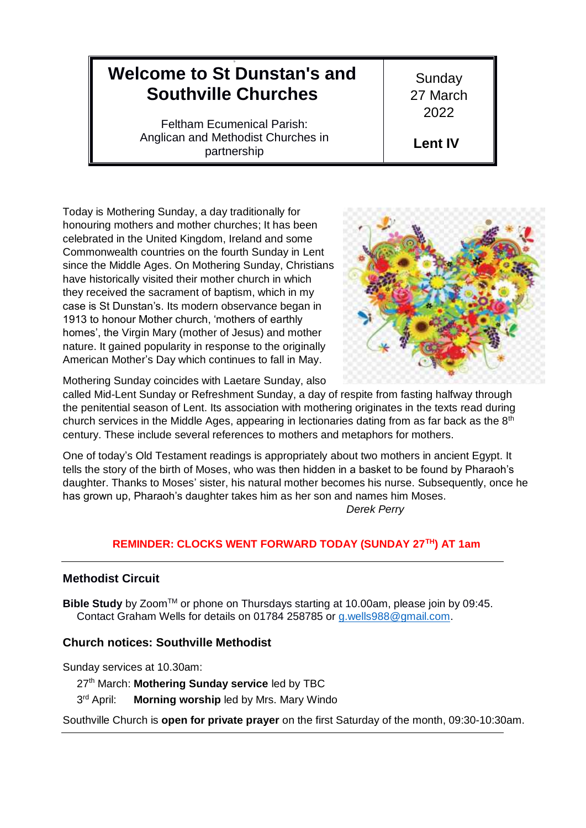# 9 **Welcome to St Dunstan's and Southville Churches**

Feltham Ecumenical Parish: Anglican and Methodist Churches in partnership

**Sunday** 27 March 2022

**Lent IV**

Today is Mothering Sunday, a day traditionally for honouring mothers and mother churches; It has been celebrated in the United Kingdom, Ireland and some Commonwealth countries on the fourth Sunday in Lent since the Middle Ages. On Mothering Sunday, Christians have historically visited their mother church in which they received the sacrament of baptism, which in my case is St Dunstan's. Its modern observance began in 1913 to honour Mother church, 'mothers of earthly homes', the Virgin Mary (mother of Jesus) and mother nature. It gained popularity in response to the originally American Mother's Day which continues to fall in May.



Mothering Sunday coincides with Laetare Sunday, also

called Mid-Lent Sunday or Refreshment Sunday, a day of respite from fasting halfway through the penitential season of Lent. Its association with mothering originates in the texts read during church services in the Middle Ages, appearing in lectionaries dating from as far back as the  $8<sup>th</sup>$ century. These include several references to mothers and metaphors for mothers.

One of today's Old Testament readings is appropriately about two mothers in ancient Egypt. It tells the story of the birth of Moses, who was then hidden in a basket to be found by Pharaoh's daughter. Thanks to Moses' sister, his natural mother becomes his nurse. Subsequently, once he has grown up, Pharaoh's daughter takes him as her son and names him Moses. *Derek Perry*

## **REMINDER: CLOCKS WENT FORWARD TODAY (SUNDAY 27TH) AT 1am**

## **Methodist Circuit**

**Bible Study** by Zoom™ or phone on Thursdays starting at 10.00am, please join by 09:45. Contact Graham Wells for details on 01784 258785 or [g.wells988@gmail.com.](mailto:g.wells988@gmail.com)

## **Church notices: Southville Methodist**

Sunday services at 10.30am:

27th March: **Mothering Sunday service** led by TBC

3rd April: **Morning worship led by Mrs. Mary Windo** 

Southville Church is **open for private prayer** on the first Saturday of the month, 09:30-10:30am.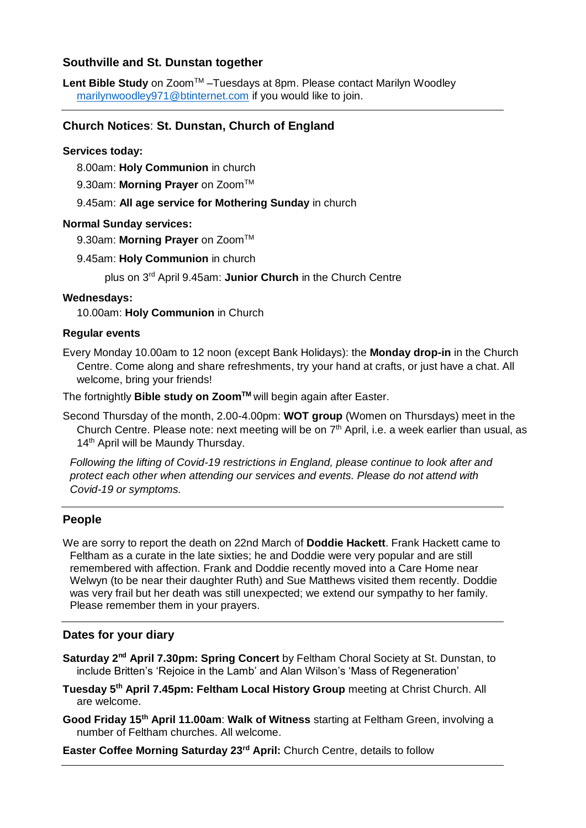### **Southville and St. Dunstan together**

Lent Bible Study on Zoom<sup>™</sup> –Tuesdays at 8pm. Please contact Marilyn Woodley [marilynwoodley971@btinternet.com](mailto:marilynwoodley971@btinternet.com) if you would like to join.

### **Church Notices**: **St. Dunstan, Church of England**

#### **Services today:**

8.00am: **Holy Communion** in church

9.30am: Morning Prayer on Zoom<sup>™</sup>

9.45am: **All age service for Mothering Sunday** in church

#### **Normal Sunday services:**

9.30am: Morning Prayer on Zoom<sup>™</sup>

9.45am: **Holy Communion** in church

plus on 3 rd April 9.45am: **Junior Church** in the Church Centre

#### **Wednesdays:**

10.00am: **Holy Communion** in Church

#### **Regular events**

Every Monday 10.00am to 12 noon (except Bank Holidays): the **Monday drop-in** in the Church Centre. Come along and share refreshments, try your hand at crafts, or just have a chat. All welcome, bring your friends!

The fortnightly **Bible study on ZoomTM** will begin again after Easter.

Second Thursday of the month, 2.00-4.00pm: **WOT group** (Women on Thursdays) meet in the Church Centre. Please note: next meeting will be on  $7<sup>th</sup>$  April, i.e. a week earlier than usual, as 14<sup>th</sup> April will be Maundy Thursday.

*Following the lifting of Covid-19 restrictions in England, please continue to look after and protect each other when attending our services and events. Please do not attend with Covid-19 or symptoms.*

#### **People**

We are sorry to report the death on 22nd March of **Doddie Hackett**. Frank Hackett came to Feltham as a curate in the late sixties; he and Doddie were very popular and are still remembered with affection. Frank and Doddie recently moved into a Care Home near Welwyn (to be near their daughter Ruth) and Sue Matthews visited them recently. Doddie was very frail but her death was still unexpected; we extend our sympathy to her family. Please remember them in your prayers.

#### **Dates for your diary**

**Saturday 2nd April 7.30pm: Spring Concert** by Feltham Choral Society at St. Dunstan, to include Britten's 'Rejoice in the Lamb' and Alan Wilson's 'Mass of Regeneration'

**Tuesday 5th April 7.45pm: Feltham Local History Group** meeting at Christ Church. All are welcome.

**Good Friday 15th April 11.00am**: **Walk of Witness** starting at Feltham Green, involving a number of Feltham churches. All welcome.

**Easter Coffee Morning Saturday 23rd April:** Church Centre, details to follow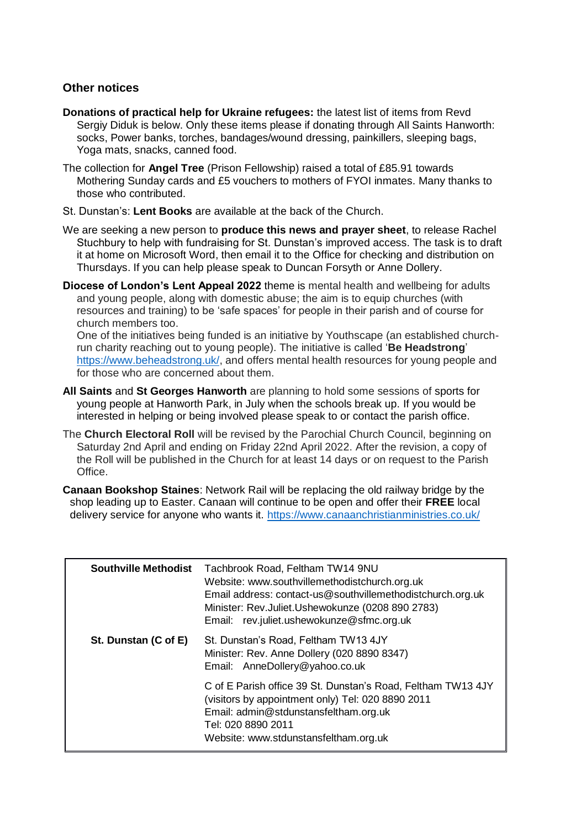## **Other notices**

- **Donations of practical help for Ukraine refugees:** the latest list of items from Revd Sergiy Diduk is below. Only these items please if donating through All Saints Hanworth: socks, Power banks, torches, bandages/wound dressing, painkillers, sleeping bags, Yoga mats, snacks, canned food.
- The collection for **Angel Tree** (Prison Fellowship) raised a total of £85.91 towards Mothering Sunday cards and £5 vouchers to mothers of FYOI inmates. Many thanks to those who contributed.
- St. Dunstan's: **Lent Books** are available at the back of the Church.
- We are seeking a new person to **produce this news and prayer sheet**, to release Rachel Stuchbury to help with fundraising for St. Dunstan's improved access. The task is to draft it at home on Microsoft Word, then email it to the Office for checking and distribution on Thursdays. If you can help please speak to Duncan Forsyth or Anne Dollery.
- **Diocese of London's Lent Appeal 2022** theme is mental health and wellbeing for adults and young people, along with domestic abuse; the aim is to equip churches (with resources and training) to be 'safe spaces' for people in their parish and of course for church members too.

One of the initiatives being funded is an initiative by Youthscape (an established churchrun charity reaching out to young people). The initiative is called '**Be Headstrong**' [https://www.beheadstrong.uk/,](https://www.beheadstrong.uk/) and offers mental health resources for young people and for those who are concerned about them.

- **All Saints** and **St Georges Hanworth** are planning to hold some sessions of sports for young people at Hanworth Park, in July when the schools break up. If you would be interested in helping or being involved please speak to or contact the parish office.
- The **Church Electoral Roll** will be revised by the Parochial Church Council, beginning on Saturday 2nd April and ending on Friday 22nd April 2022. After the revision, a copy of the Roll will be published in the Church for at least 14 days or on request to the Parish Office.
- **Canaan Bookshop Staines**: Network Rail will be replacing the old railway bridge by the shop leading up to Easter. Canaan will continue to be open and offer their **FREE** local delivery service for anyone who wants it. <https://www.canaanchristianministries.co.uk/>

| <b>Southville Methodist</b> | Tachbrook Road, Feltham TW14 9NU<br>Website: www.southvillemethodistchurch.org.uk<br>Email address: contact-us@southvillemethodistchurch.org.uk<br>Minister: Rev.Juliet.Ushewokunze (0208 890 2783)<br>Email: rev.juliet.ushewokunze@sfmc.org.uk |
|-----------------------------|--------------------------------------------------------------------------------------------------------------------------------------------------------------------------------------------------------------------------------------------------|
| St. Dunstan (C of E)        | St. Dunstan's Road, Feltham TW13 4JY<br>Minister: Rev. Anne Dollery (020 8890 8347)<br>Email: AnneDollery@yahoo.co.uk                                                                                                                            |
|                             | C of E Parish office 39 St. Dunstan's Road, Feltham TW13 4JY<br>(visitors by appointment only) Tel: 020 8890 2011<br>Email: admin@stdunstansfeltham.org.uk<br>Tel: 020 8890 2011<br>Website: www.stdunstansfeltham.org.uk                        |